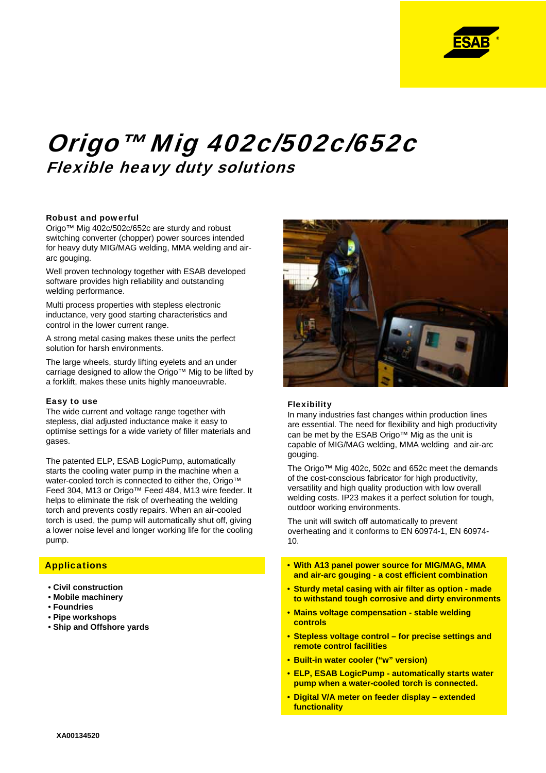

# Origo™ Mig 402c/502c/652c Flexible heavy duty solutions

## Robust and powerful

Origo™ Mig 402c/502c/652c are sturdy and robust switching converter (chopper) power sources intended for heavy duty MIG/MAG welding, MMA welding and airarc gouging.

Well proven technology together with ESAB developed software provides high reliability and outstanding welding performance.

Multi process properties with stepless electronic inductance, very good starting characteristics and control in the lower current range.

A strong metal casing makes these units the perfect solution for harsh environments.

The large wheels, sturdy lifting eyelets and an under carriage designed to allow the Origo™ Mig to be lifted by a forklift, makes these units highly manoeuvrable.

## Easy to use

The wide current and voltage range together with stepless, dial adjusted inductance make it easy to optimise settings for a wide variety of filler materials and gases.

The patented ELP, ESAB LogicPump, automatically starts the cooling water pump in the machine when a water-cooled torch is connected to either the, Origo™ Feed 304, M13 or Origo™ Feed 484, M13 wire feeder. It helps to eliminate the risk of overheating the welding torch and prevents costly repairs. When an air-cooled torch is used, the pump will automatically shut off, giving a lower noise level and longer working life for the cooling pump.

# **Applications**

- **Civil construction**
- **Mobile machinery**
- **Foundries**
- **Pipe workshops**
- **Ship and Offshore yards**



## Flexibility

In many industries fast changes within production lines are essential. The need for flexibility and high productivity can be met by the ESAB Origo™ Mig as the unit is capable of MIG/MAG welding, MMA welding and air-arc gouging.

The Origo™ Mig 402c, 502c and 652c meet the demands of the cost-conscious fabricator for high productivity, versatility and high quality production with low overall welding costs. IP23 makes it a perfect solution for tough, outdoor working environments.

The unit will switch off automatically to prevent overheating and it conforms to EN 60974-1, EN 60974- 10.

- **With A13 panel power source for MIG/MAG, MMA and air-arc gouging - a cost efficient combination**
- **Sturdy metal casing with air filter as option made to withstand tough corrosive and dirty environments**
- **Mains voltage compensation stable welding controls**
- **Stepless voltage control for precise settings and remote control facilities**
- **Built-in water cooler ("w" version)**
- **ELP, ESAB LogicPump automatically starts water pump when a water-cooled torch is connected.**
- **Digital V/A meter on feeder display extended functionality**